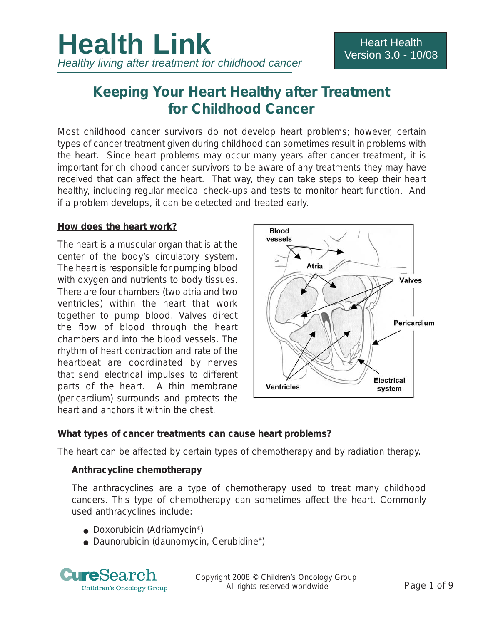# **Keeping Your Heart Healthy after Treatment for Childhood Cancer**

Most childhood cancer survivors do not develop heart problems; however, certain types of cancer treatment given during childhood can sometimes result in problems with the heart. Since heart problems may occur many years after cancer treatment, it is important for childhood cancer survivors to be aware of any treatments they may have received that can affect the heart. That way, they can take steps to keep their heart healthy, including regular medical check-ups and tests to monitor heart function. And if a problem develops, it can be detected and treated early.

#### **How does the heart work?**

The heart is a muscular organ that is at the center of the body's circulatory system. The heart is responsible for pumping blood with oxygen and nutrients to body tissues. There are four chambers (two atria and two ventricles) within the heart that work together to pump blood. Valves direct the flow of blood through the heart chambers and into the blood vessels. The rhythm of heart contraction and rate of the heartbeat are coordinated by nerves that send electrical impulses to different parts of the heart. A thin membrane (pericardium) surrounds and protects the heart and anchors it within the chest.



#### **What types of cancer treatments can cause heart problems?**

The heart can be affected by certain types of chemotherapy and by radiation therapy.

#### **Anthracycline chemotherapy**

The anthracyclines are a type of chemotherapy used to treat many childhood cancers. This type of chemotherapy can sometimes affect the heart. Commonly used anthracyclines include:

- Doxorubicin (Adriamycin<sup>®</sup>)
- Daunorubicin (daunomycin, Cerubidine®)



Copyright 2008 © Children's Oncology Group All rights reserved worldwide **Page 1 of 9**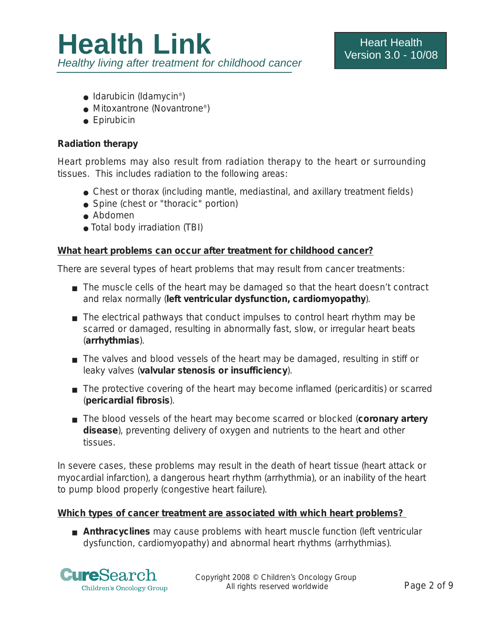- $\bullet$  Idarubicin (Idamycin<sup>®</sup>)
- Mitoxantrone (Novantrone®)
- Epirubicin

### **Radiation therapy**

Heart problems may also result from radiation therapy to the heart or surrounding tissues. This includes radiation to the following areas:

- Chest or thorax (including mantle, mediastinal, and axillary treatment fields)
- Spine (chest or "thoracic" portion)
- Abdomen
- Total body irradiation (TBI)

# **What heart problems can occur after treatment for childhood cancer?**

There are several types of heart problems that may result from cancer treatments:

- The muscle cells of the heart may be damaged so that the heart doesn't contract and relax normally (**left ventricular dysfunction, cardiomyopathy**).
- The electrical pathways that conduct impulses to control heart rhythm may be scarred or damaged, resulting in abnormally fast, slow, or irregular heart beats (**arrhythmias**).
- The valves and blood vessels of the heart may be damaged, resulting in stiff or leaky valves (**valvular stenosis or insufficiency**).
- The protective covering of the heart may become inflamed (pericarditis) or scarred (**pericardial fibrosis**).
- The blood vessels of the heart may become scarred or blocked (**coronary artery disease**), preventing delivery of oxygen and nutrients to the heart and other tissues.

In severe cases, these problems may result in the death of heart tissue (heart attack or myocardial infarction), a dangerous heart rhythm (arrhythmia), or an inability of the heart to pump blood properly (congestive heart failure).

## **Which types of cancer treatment are associated with which heart problems?**

■ **Anthracyclines** may cause problems with heart muscle function (left ventricular dysfunction, cardiomyopathy) and abnormal heart rhythms (arrhythmias).

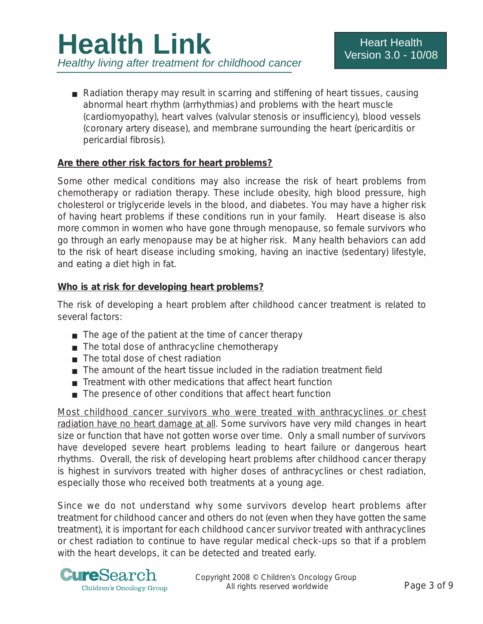■ Radiation therapy may result in scarring and stiffening of heart tissues, causing abnormal heart rhythm (arrhythmias) and problems with the heart muscle (cardiomyopathy), heart valves (valvular stenosis or insufficiency), blood vessels (coronary artery disease), and membrane surrounding the heart (pericarditis or pericardial fibrosis).

#### **Are there other risk factors for heart problems?**

Some other medical conditions may also increase the risk of heart problems from chemotherapy or radiation therapy. These include obesity, high blood pressure, high cholesterol or triglyceride levels in the blood, and diabetes. You may have a higher risk of having heart problems if these conditions run in your family. Heart disease is also more common in women who have gone through menopause, so female survivors who go through an early menopause may be at higher risk. Many health behaviors can add to the risk of heart disease including smoking, having an inactive (sedentary) lifestyle, and eating a diet high in fat.

#### **Who is at risk for developing heart problems?**

The risk of developing a heart problem after childhood cancer treatment is related to several factors:

- The age of the patient at the time of cancer therapy
- The total dose of anthracycline chemotherapy
- The total dose of chest radiation
- The amount of the heart tissue included in the radiation treatment field
- Treatment with other medications that affect heart function
- The presence of other conditions that affect heart function

*Most childhood cancer survivors who were treated with anthracyclines or chest radiation have no heart damage at all*. Some survivors have very mild changes in heart size or function that have not gotten worse over time. Only a small number of survivors have developed severe heart problems leading to heart failure or dangerous heart rhythms. Overall, the risk of developing heart problems after childhood cancer therapy is highest in survivors treated with higher doses of anthracyclines or chest radiation, especially those who received both treatments at a young age.

Since we do not understand why some survivors develop heart problems after treatment for childhood cancer and others do not (even when they have gotten the same treatment), it is important for each childhood cancer survivor treated with anthracyclines or chest radiation to continue to have regular medical check-ups so that if a problem with the heart develops, it can be detected and treated early.

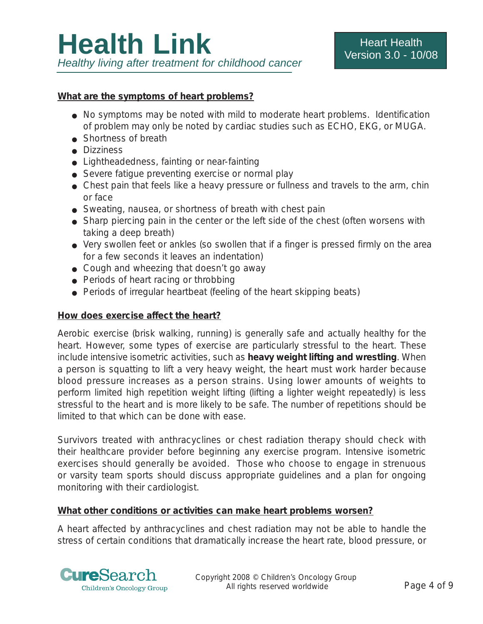#### **What are the symptoms of heart problems?**

- No symptoms may be noted with mild to moderate heart problems. Identification of problem may only be noted by cardiac studies such as ECHO, EKG, or MUGA.
- Shortness of breath
- Dizziness
- Lightheadedness, fainting or near-fainting
- Severe fatique preventing exercise or normal play
- Chest pain that feels like a heavy pressure or fullness and travels to the arm, chin or face
- Sweating, nausea, or shortness of breath with chest pain
- Sharp piercing pain in the center or the left side of the chest (often worsens with taking a deep breath)
- Very swollen feet or ankles (so swollen that if a finger is pressed firmly on the area for a few seconds it leaves an indentation)
- Cough and wheezing that doesn't go away
- Periods of heart racing or throbbing
- Periods of irregular heartbeat (feeling of the heart skipping beats)

#### **How does exercise affect the heart?**

Aerobic exercise (brisk walking, running) is generally safe and actually healthy for the heart. However, some types of exercise are particularly stressful to the heart. These include intensive isometric activities, such as **heavy weight lifting and wrestling**. When a person is squatting to lift a very heavy weight, the heart must work harder because blood pressure increases as a person strains. Using lower amounts of weights to perform limited high repetition weight lifting (lifting a lighter weight repeatedly) is less stressful to the heart and is more likely to be safe. The number of repetitions should be limited to that which can be done with ease.

Survivors treated with anthracyclines or chest radiation therapy should check with their healthcare provider before beginning any exercise program. Intensive isometric exercises should generally be avoided. Those who choose to engage in strenuous or varsity team sports should discuss appropriate guidelines and a plan for ongoing monitoring with their cardiologist.

#### **What other conditions or activities can make heart problems worsen?**

A heart affected by anthracyclines and chest radiation may not be able to handle the stress of certain conditions that dramatically increase the heart rate, blood pressure, or

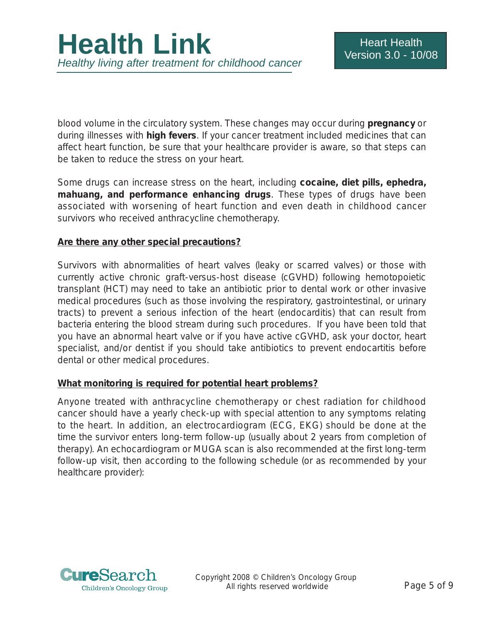blood volume in the circulatory system. These changes may occur during **pregnancy** or during illnesses with **high fevers**. If your cancer treatment included medicines that can affect heart function, be sure that your healthcare provider is aware, so that steps can be taken to reduce the stress on your heart.

Some drugs can increase stress on the heart, including **cocaine, diet pills, ephedra, mahuang, and performance enhancing drugs**. These types of drugs have been associated with worsening of heart function and even death in childhood cancer survivors who received anthracycline chemotherapy.

#### **Are there any other special precautions?**

Survivors with abnormalities of heart valves (leaky or scarred valves) or those with currently active chronic graft-versus-host disease (cGVHD) following hemotopoietic transplant (HCT) may need to take an antibiotic prior to dental work or other invasive medical procedures (such as those involving the respiratory, gastrointestinal, or urinary tracts) to prevent a serious infection of the heart (endocarditis) that can result from bacteria entering the blood stream during such procedures. If you have been told that you have an abnormal heart valve or if you have active cGVHD, ask your doctor, heart specialist, and/or dentist if you should take antibiotics to prevent endocartitis before dental or other medical procedures.

#### **What monitoring is required for potential heart problems?**

Anyone treated with anthracycline chemotherapy or chest radiation for childhood cancer should have a yearly check-up with special attention to any symptoms relating to the heart. In addition, an electrocardiogram (ECG, EKG) should be done at the time the survivor enters long-term follow-up (usually about 2 years from completion of therapy). An echocardiogram or MUGA scan is also recommended at the first long-term follow-up visit, then according to the following schedule (or as recommended by your healthcare provider):

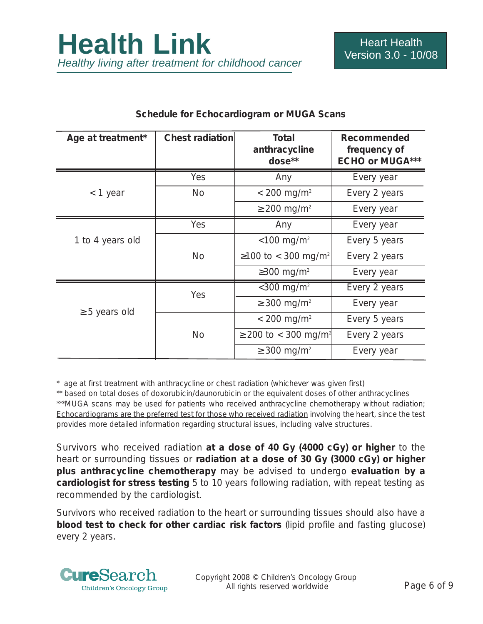| Age at treatment*  | <b>Chest radiation</b> | <b>Total</b><br>anthracycline<br>dose** | <b>Recommended</b><br>frequency of<br><b>ECHO or MUGA***</b> |
|--------------------|------------------------|-----------------------------------------|--------------------------------------------------------------|
| < 1 year           | Yes                    | Any                                     | Every year                                                   |
|                    | <b>No</b>              | $< 200$ mg/m <sup>2</sup>               | Every 2 years                                                |
|                    |                        | $\geq$ 200 mg/m <sup>2</sup>            | Every year                                                   |
| 1 to 4 years old   | Yes                    | Any                                     | Every year                                                   |
|                    |                        | $< 100$ mg/m <sup>2</sup>               | Every 5 years                                                |
|                    | <b>No</b>              | ≥100 to < 300 mg/m <sup>2</sup>         | Every 2 years                                                |
|                    |                        | $\geq$ 300 mg/m <sup>2</sup>            | Every year                                                   |
| $\geq$ 5 years old | Yes                    | $<$ 300 mg/m <sup>2</sup>               | Every 2 years                                                |
|                    |                        | $\geq$ 300 mg/m <sup>2</sup>            | Every year                                                   |
|                    | <b>No</b>              | $< 200$ mg/m <sup>2</sup>               | Every 5 years                                                |
|                    |                        | ≥ 200 to < 300 mg/m <sup>2</sup>        | Every 2 years                                                |
|                    |                        | $\geq$ 300 mg/m <sup>2</sup>            | Every year                                                   |

#### **Schedule for Echocardiogram or MUGA Scans**

\* age at first treatment with anthracycline or chest radiation (whichever was given first)

\*\* based on total doses of doxorubicin/daunorubicin or the equivalent doses of other anthracyclines \*\*\*MUGA scans may be used for patients who received anthracycline chemotherapy without radiation; Echocardiograms are the preferred test for those who received radiation involving the heart, since the test provides more detailed information regarding structural issues, including valve structures.

Survivors who received radiation **at a dose of 40 Gy (4000 cGy) or higher** to the heart or surrounding tissues or **radiation at a dose of 30 Gy (3000 cGy) or higher plus anthracycline chemotherapy** may be advised to undergo **evaluation by a cardiologist for stress testing** 5 to 10 years following radiation, with repeat testing as recommended by the cardiologist.

Survivors who received radiation to the heart or surrounding tissues should also have a **blood test to check for other cardiac risk factors** (lipid profile and fasting glucose) every 2 years.

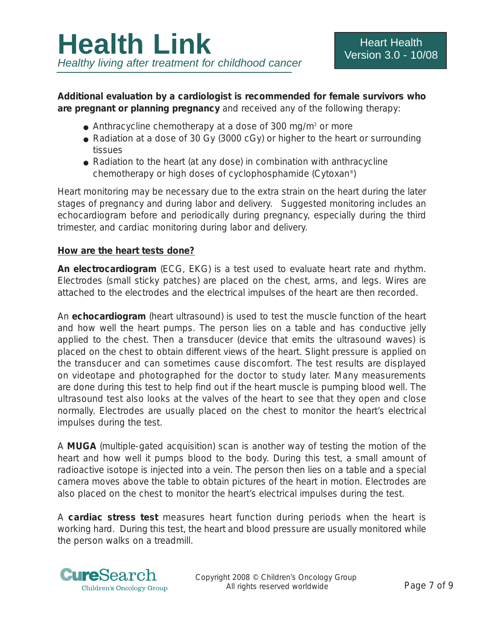**Additional evaluation by a cardiologist is recommended for female survivors who are pregnant or planning pregnancy** and received any of the following therapy:

- Anthracycline chemotherapy at a dose of 300 mg/m<sup>2</sup> or more
- Radiation at a dose of 30 Gy (3000 cGy) or higher to the heart or surrounding tissues
- Radiation to the heart (at any dose) in combination with anthracycline chemotherapy or high doses of cyclophosphamide (Cytoxan®)

Heart monitoring may be necessary due to the extra strain on the heart during the later stages of pregnancy and during labor and delivery. Suggested monitoring includes an echocardiogram before and periodically during pregnancy, especially during the third trimester, and cardiac monitoring during labor and delivery.

#### **How are the heart tests done?**

**An electrocardiogram** (ECG, EKG) is a test used to evaluate heart rate and rhythm. Electrodes (small sticky patches) are placed on the chest, arms, and legs. Wires are attached to the electrodes and the electrical impulses of the heart are then recorded.

An **echocardiogram** (heart ultrasound) is used to test the muscle function of the heart and how well the heart pumps. The person lies on a table and has conductive jelly applied to the chest. Then a transducer (device that emits the ultrasound waves) is placed on the chest to obtain different views of the heart. Slight pressure is applied on the transducer and can sometimes cause discomfort. The test results are displayed on videotape and photographed for the doctor to study later. Many measurements are done during this test to help find out if the heart muscle is pumping blood well. The ultrasound test also looks at the valves of the heart to see that they open and close normally. Electrodes are usually placed on the chest to monitor the heart's electrical impulses during the test.

A **MUGA** (multiple-gated acquisition) scan is another way of testing the motion of the heart and how well it pumps blood to the body. During this test, a small amount of radioactive isotope is injected into a vein. The person then lies on a table and a special camera moves above the table to obtain pictures of the heart in motion. Electrodes are also placed on the chest to monitor the heart's electrical impulses during the test.

A **cardiac stress test** measures heart function during periods when the heart is working hard. During this test, the heart and blood pressure are usually monitored while the person walks on a treadmill.

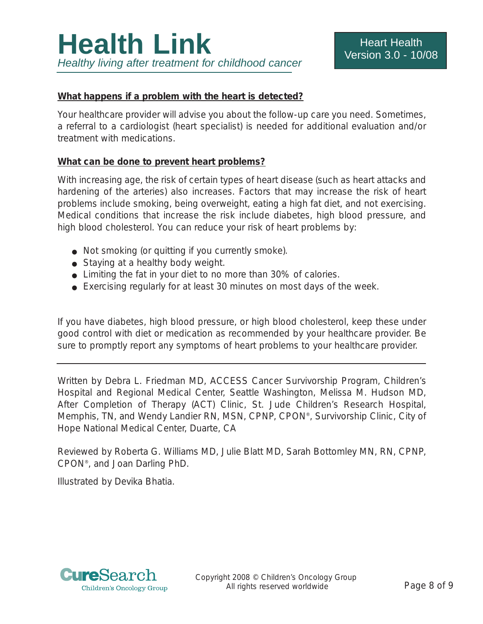#### **What happens if a problem with the heart is detected?**

Your healthcare provider will advise you about the follow-up care you need. Sometimes, a referral to a cardiologist (heart specialist) is needed for additional evaluation and/or treatment with medications.

#### **What can be done to prevent heart problems?**

With increasing age, the risk of certain types of heart disease (such as heart attacks and hardening of the arteries) also increases. Factors that may increase the risk of heart problems include smoking, being overweight, eating a high fat diet, and not exercising. Medical conditions that increase the risk include diabetes, high blood pressure, and high blood cholesterol. You can reduce your risk of heart problems by:

- Not smoking (or quitting if you currently smoke).
- Staying at a healthy body weight.
- Limiting the fat in your diet to no more than 30% of calories.
- Exercising regularly for at least 30 minutes on most days of the week.

If you have diabetes, high blood pressure, or high blood cholesterol, keep these under good control with diet or medication as recommended by your healthcare provider. Be sure to promptly report any symptoms of heart problems to your healthcare provider.

*Written by Debra L. Friedman MD, ACCESS Cancer Survivorship Program, Children's Hospital and Regional Medical Center, Seattle Washington, Melissa M. Hudson MD, After Completion of Therapy (ACT) Clinic, St. Jude Children's Research Hospital, Memphis, TN, and Wendy Landier RN, MSN, CPNP, CPON®, Survivorship Clinic, City of Hope National Medical Center, Duarte, CA* 

*Reviewed by Roberta G. Williams MD, Julie Blatt MD, Sarah Bottomley MN, RN, CPNP, CPON®, and Joan Darling PhD.*

*Illustrated by Devika Bhatia.*